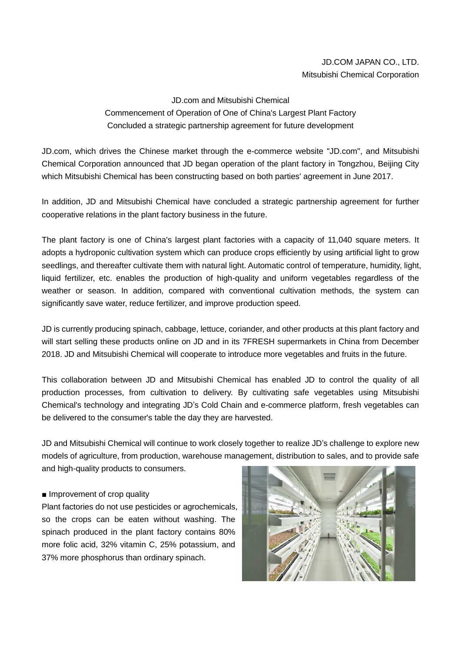## JD.COM JAPAN CO., LTD. Mitsubishi Chemical Corporation

## JD.com and Mitsubishi Chemical Commencement of Operation of One of China's Largest Plant Factory Concluded a strategic partnership agreement for future development

JD.com, which drives the Chinese market through the e-commerce website "JD.com", and Mitsubishi Chemical Corporation announced that JD began operation of the plant factory in Tongzhou, Beijing City which Mitsubishi Chemical has been constructing based on both parties' agreement in June 2017.

In addition, JD and Mitsubishi Chemical have concluded a strategic partnership agreement for further cooperative relations in the plant factory business in the future.

The plant factory is one of China's largest plant factories with a capacity of 11,040 square meters. It adopts a hydroponic cultivation system which can produce crops efficiently by using artificial light to grow seedlings, and thereafter cultivate them with natural light. Automatic control of temperature, humidity, light, liquid fertilizer, etc. enables the production of high-quality and uniform vegetables regardless of the weather or season. In addition, compared with conventional cultivation methods, the system can significantly save water, reduce fertilizer, and improve production speed.

JD is currently producing spinach, cabbage, lettuce, coriander, and other products at this plant factory and will start selling these products online on JD and in its 7FRESH supermarkets in China from December 2018. JD and Mitsubishi Chemical will cooperate to introduce more vegetables and fruits in the future.

This collaboration between JD and Mitsubishi Chemical has enabled JD to control the quality of all production processes, from cultivation to delivery. By cultivating safe vegetables using Mitsubishi Chemical's technology and integrating JD's Cold Chain and e-commerce platform, fresh vegetables can be delivered to the consumer's table the day they are harvested.

JD and Mitsubishi Chemical will continue to work closely together to realize JD's challenge to explore new models of agriculture, from production, warehouse management, distribution to sales, and to provide safe and high-quality products to consumers.

## ■ Improvement of crop quality

Plant factories do not use pesticides or agrochemicals, so the crops can be eaten without washing. The spinach produced in the plant factory contains 80% more folic acid, 32% vitamin C, 25% potassium, and 37% more phosphorus than ordinary spinach.